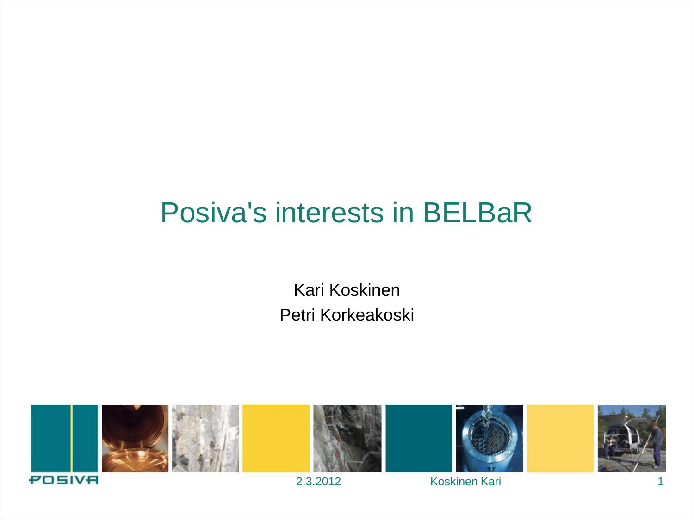#### Posiva's interests in BELBaR

Kari Koskinen Petri Korkeakoski

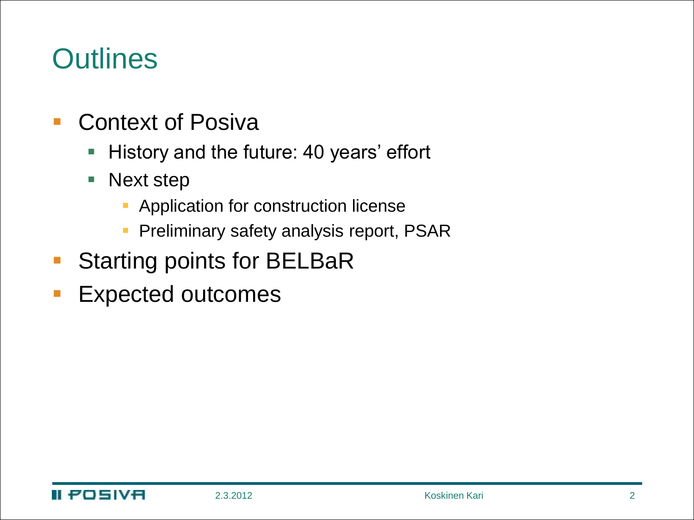#### **Outlines**

- **Context of Posiva** 
	- **History and the future: 40 years' effort**
	- **Next step** 
		- **Application for construction license**
		- **Preliminary safety analysis report, PSAR**
- **Starting points for BELBaR**
- **Expected outcomes**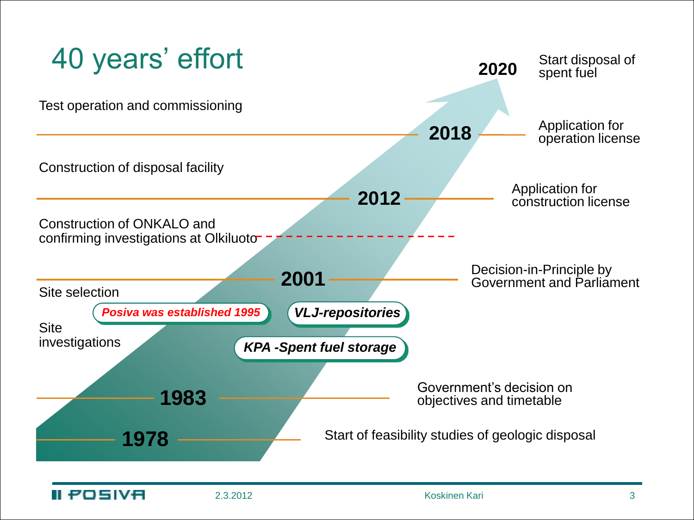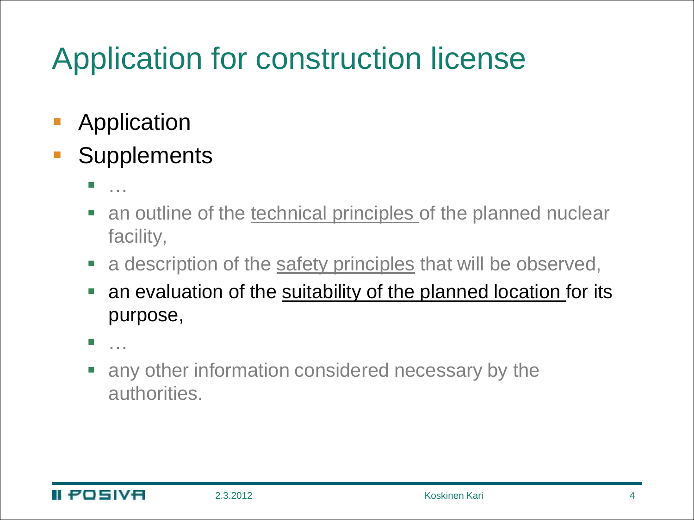# Application for construction license

- **Application**
- **Supplements** 
	- ……
	- an outline of the technical principles of the planned nuclear facility,
	- a description of the safety principles that will be observed,
	- an evaluation of the suitability of the planned location for its purpose,
	- …
	- any other information considered necessary by the authorities.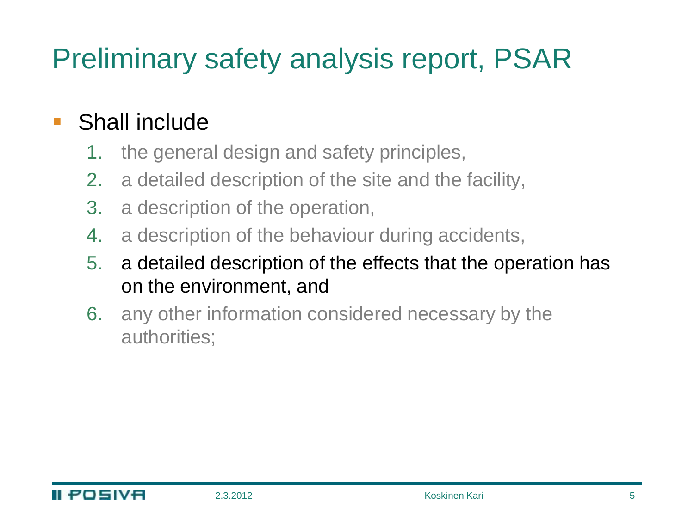# Preliminary safety analysis report, PSAR

#### ■ Shall include

- 1. the general design and safety principles,
- 2. a detailed description of the site and the facility,
- 3. a description of the operation,
- 4. a description of the behaviour during accidents,
- 5. a detailed description of the effects that the operation has on the environment, and
- 6. any other information considered necessary by the authorities;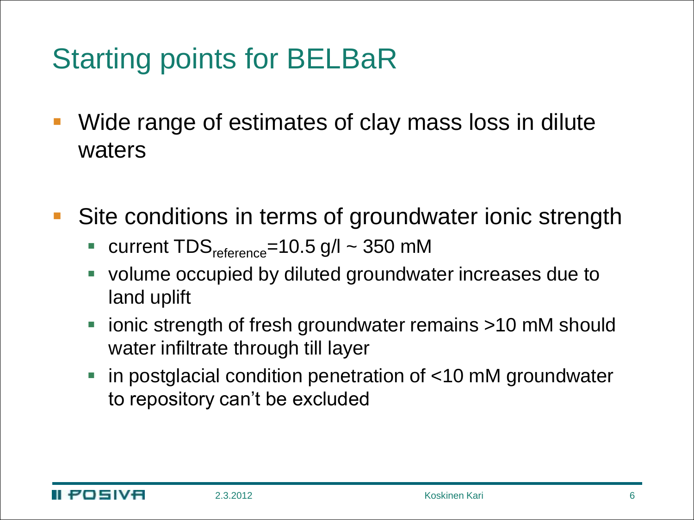# Starting points for BELBaR

- Wide range of estimates of clay mass loss in dilute waters
- Site conditions in terms of groundwater ionic strength
	- current  $TDS_{reference} = 10.5$  g/l  $\sim$  350 mM
	- volume occupied by diluted groundwater increases due to land uplift
	- ionic strength of fresh groundwater remains >10 mM should water infiltrate through till layer
	- in postglacial condition penetration of <10 mM groundwater to repository can't be excluded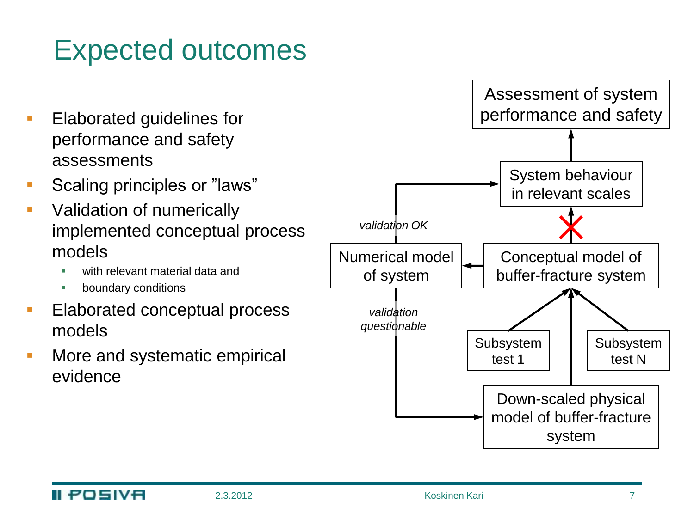### Expected outcomes

- Elaborated guidelines for performance and safety assessments
- Scaling principles or "laws"
- Validation of numerically implemented conceptual process models
	- with relevant material data and
	- boundary conditions
- Elaborated conceptual process models
- More and systematic empirical evidence